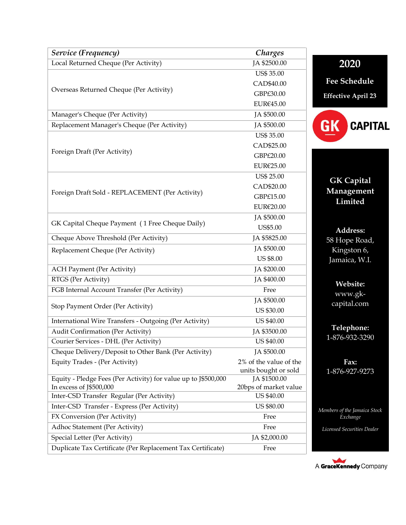| Service (Frequency)                                                                       | Charges                               |                                          |
|-------------------------------------------------------------------------------------------|---------------------------------------|------------------------------------------|
| Local Returned Cheque (Per Activity)                                                      | JA \$2500.00                          | 2020                                     |
| Overseas Returned Cheque (Per Activity)                                                   | <b>US\$ 35.00</b>                     |                                          |
|                                                                                           | CAD\$40.00                            | <b>Fee Schedule</b>                      |
|                                                                                           | GBP£30.00                             | <b>Effective April 23</b>                |
|                                                                                           | EUR€45.00                             |                                          |
| Manager's Cheque (Per Activity)                                                           | JA \$500.00                           |                                          |
| Replacement Manager's Cheque (Per Activity)                                               | JA \$500.00                           | <b>CAPITAL</b><br>GK                     |
| Foreign Draft (Per Activity)                                                              | <b>US\$ 35.00</b>                     |                                          |
|                                                                                           | CAD\$25.00                            |                                          |
|                                                                                           | GBP£20.00                             |                                          |
|                                                                                           | EUR€25.00                             |                                          |
|                                                                                           | <b>US\$ 25.00</b>                     | <b>GK Capital</b>                        |
|                                                                                           | CAD\$20.00                            | Management                               |
| Foreign Draft Sold - REPLACEMENT (Per Activity)                                           | GBP£15.00                             | Limited                                  |
|                                                                                           | EUR€20.00                             |                                          |
|                                                                                           | JA \$500.00                           |                                          |
| GK Capital Cheque Payment (1 Free Cheque Daily)                                           | US\$5.00                              | Address:                                 |
| Cheque Above Threshold (Per Activity)                                                     | JA \$5825.00                          | 58 Hope Road,                            |
| Replacement Cheque (Per Activity)                                                         | JA \$500.00                           | Kingston $\overline{6}$ ,                |
|                                                                                           | <b>US \$8.00</b>                      | Jamaica, W.I.                            |
| <b>ACH Payment (Per Activity)</b>                                                         | JA \$200.00                           |                                          |
| RTGS (Per Activity)                                                                       | JA \$400.00                           | Website:                                 |
| FGB Internal Account Transfer (Per Activity)                                              | Free                                  | www.gk-                                  |
| Stop Payment Order (Per Activity)                                                         | JA \$500.00                           | capital.com                              |
|                                                                                           | <b>US \$30.00</b>                     |                                          |
| International Wire Transfers - Outgoing (Per Activity)                                    | <b>US \$40.00</b>                     |                                          |
| Audit Confirmation (Per Activity)                                                         | JA \$3500.00                          | Telephone:                               |
| Courier Services - DHL (Per Activity)                                                     | US \$40.00                            | 1-876-932-3290                           |
| Cheque Delivery/Deposit to Other Bank (Per Activity)                                      | JA \$500.00                           |                                          |
| Equity Trades - (Per Activity)                                                            | 2% of the value of the                | Fax:                                     |
|                                                                                           | units bought or sold                  | 1-876-927-9273                           |
| Equity - Pledge Fees (Per Activity) for value up to J\$500,000<br>In excess of J\$500,000 | JA \$1500.00<br>20bps of market value |                                          |
| Inter-CSD Transfer Regular (Per Activity)                                                 | US \$40.00                            |                                          |
| Inter-CSD Transfer - Express (Per Activity)                                               | <b>US \$80.00</b>                     |                                          |
| FX Conversion (Per Activity)                                                              | Free                                  | Members of the Jamaica Stock<br>Exchange |
| Adhoc Statement (Per Activity)                                                            | Free                                  | Licensed Securities Dealer               |
| Special Letter (Per Activity)                                                             | JA \$2,000.00                         |                                          |
| Duplicate Tax Certificate (Per Replacement Tax Certificate)                               | Free                                  |                                          |
|                                                                                           |                                       |                                          |